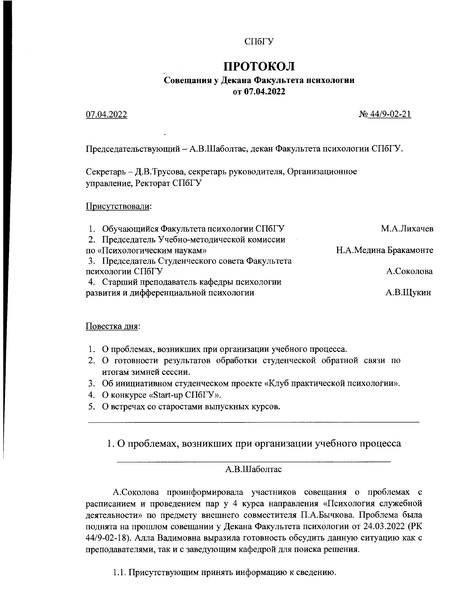### СПбГУ

# ПРОТОКОЛ

### Совещания у Декана Факультета психологии от 07.04.2022

### 07.04.2022

 $N<sub>2</sub>$  44/9-02-21

Председательствующий - А.В.Шаболтас, декан Факультета психологии СПбГУ.

Секретарь - Д.В.Трусова, секретарь руководителя, Организационное управление, Ректорат СПбГУ

Присутствовали:

| М.А.Лихачев           |
|-----------------------|
|                       |
| Н.А.Медина Бракамонте |
|                       |
| А.Соколова            |
|                       |
| А.В.Щукин             |
|                       |

### Повестка дня:

- 1. О проблемах, возникших при организации учебного процесса.
- 2. О готовности результатов обработки студенческой обратной связи по итогам зимней сессии.
- 3. Об инициативном студенческом проекте «Клуб практической психологии».
- 4. О конкурсе «Start-up СПбГУ».
- 5. О встречах со старостами выпускных курсов.

1. О проблемах, возникших при организации учебного процесса

### А.В.Шаболтас

А.Соколова проинформировала участников совещания о проблемах с расписанием и проведением пар у 4 курса направления «Психология служебной деятельности» по предмету внешнего совместителя П.А.Бычкова. Проблема была поднята на прошлом совещании у Декана Факультета психологии от 24.03.2022 (РК 44/9-02-18). Алла Вадимовна выразила готовность обсудить данную ситуацию как с преподавателями, так и с заведующим кафедрой для поиска решения.

1.1. Присутствующим принять информацию к сведению.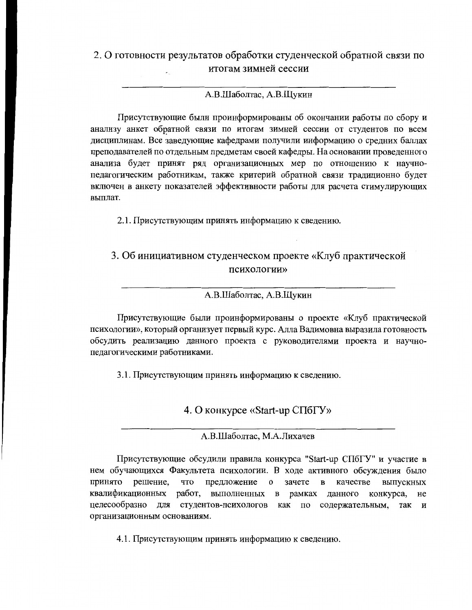## 2. О готовности результатов обработки студенческой обратной связи по итогам зимней сессии

### А.В.Шаболтас, А.В.Щукин

Присутствующие были проинформированы об окончании работы по сбору и анализу анкет обратной связи по итогам зимней сессии от студентов по всем дисциплинам. Все заведующие кафедрами получили информацию о средних баллах преподавателей по отдельным предметам своей кафедры. На основании проведенного анализа будет принят ряд организационных мер по отношению к научнопедагогическим работникам, также критерий обратной связи традиционно будет включен в анкету показателей эффективности работы для расчета стимулирующих выплат.

2.1. Присутствующим принять информацию к сведению.

## 3. Об инициативном студенческом проекте «Клуб практической психологии»

#### А.В.Шаболтас, А.В.Щукин

Присутствующие были проинформированы о проекте «Клуб практической психологии», который организует первый курс. Алла Вадимовна выразила готовность обсудить реализацию данного проекта с руководителями проекта и научнопедагогическими работниками.

3.1. Присутствующим принять информацию к сведению.

4. О конкурсе «Start-up СПбГУ»

А.В.Шаболтас, М.А.Лихачев

Присутствующие обсудили правила конкурса "Start-up СПбГУ" и участие в нем обучающихся Факультета психологии. В ходе активного обсуждения было что предложение о зачете в качестве принято решение, выпускных квалификационных работ, выполненных в рамках данного конкурса, не целесообразно для студентов-психологов как по содержательным, так И организационным основаниям

4.1. Присутствующим принять информацию к сведению.